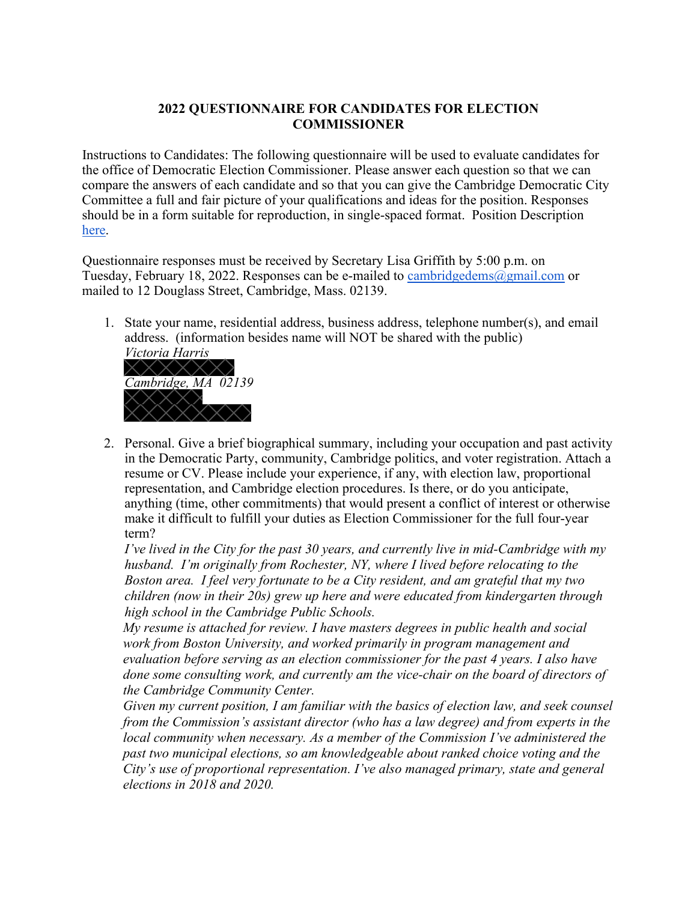## **2022 QUESTIONNAIRE FOR CANDIDATES FOR ELECTION COMMISSIONER**

Instructions to Candidates: The following questionnaire will be used to evaluate candidates for the office of Democratic Election Commissioner. Please answer each question so that we can compare the answers of each candidate and so that you can give the Cambridge Democratic City Committee a full and fair picture of your qualifications and ideas for the position. Responses should be in a form suitable for reproduction, in single-spaced format. Position Description [here.](https://www.cambridgema.gov/Departments/electioncommission)

Questionnaire responses must be received by Secretary Lisa Griffith by 5:00 p.m. on Tuesday, February 18, 2022. Responses can be e-mailed to [cambridgedems@gmail.com](mailto:cambridgedems@gmail.com) or mailed to 12 Douglass Street, Cambridge, Mass. 02139.

1. State your name, residential address, business address, telephone number(s), and email address. (information besides name will NOT be shared with the public) *Victoria Harris*



2. Personal. Give a brief biographical summary, including your occupation and past activity in the Democratic Party, community, Cambridge politics, and voter registration. Attach a resume or CV. Please include your experience, if any, with election law, proportional representation, and Cambridge election procedures. Is there, or do you anticipate, anything (time, other commitments) that would present a conflict of interest or otherwise make it difficult to fulfill your duties as Election Commissioner for the full four-year term?

*I've lived in the City for the past 30 years, and currently live in mid-Cambridge with my husband. I'm originally from Rochester, NY, where I lived before relocating to the Boston area. I feel very fortunate to be a City resident, and am grateful that my two children (now in their 20s) grew up here and were educated from kindergarten through high school in the Cambridge Public Schools.*

*My resume is attached for review. I have masters degrees in public health and social work from Boston University, and worked primarily in program management and evaluation before serving as an election commissioner for the past 4 years. I also have done some consulting work, and currently am the vice-chair on the board of directors of the Cambridge Community Center.* 

*Given my current position, I am familiar with the basics of election law, and seek counsel from the Commission's assistant director (who has a law degree) and from experts in the local community when necessary. As a member of the Commission I've administered the past two municipal elections, so am knowledgeable about ranked choice voting and the City's use of proportional representation. I've also managed primary, state and general elections in 2018 and 2020.*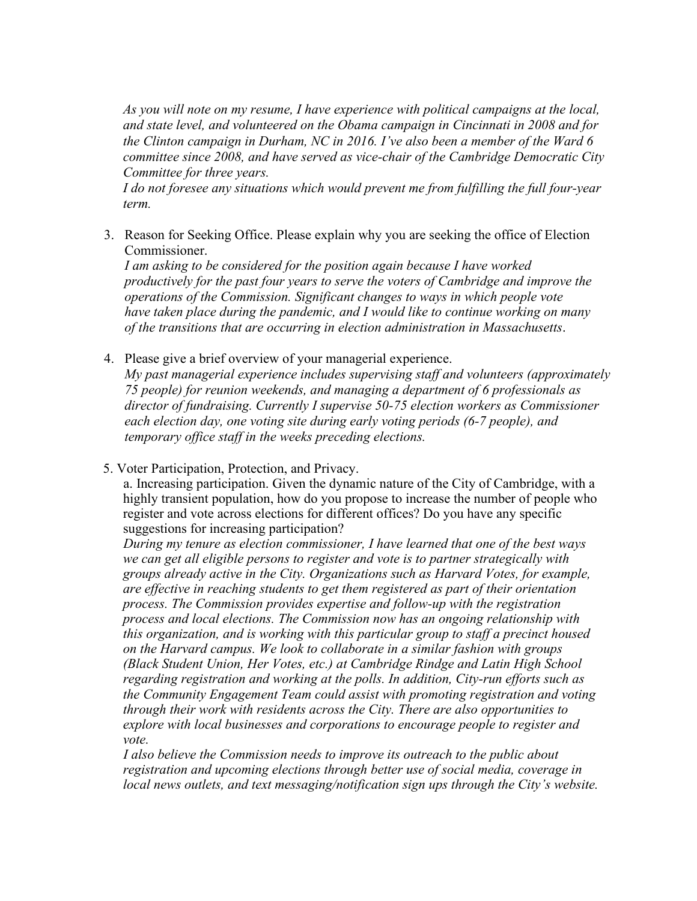*As you will note on my resume, I have experience with political campaigns at the local, and state level, and volunteered on the Obama campaign in Cincinnati in 2008 and for the Clinton campaign in Durham, NC in 2016. I've also been a member of the Ward 6 committee since 2008, and have served as vice-chair of the Cambridge Democratic City Committee for three years.* 

*I do not foresee any situations which would prevent me from fulfilling the full four-year term.*

3. Reason for Seeking Office. Please explain why you are seeking the office of Election Commissioner.

*I am asking to be considered for the position again because I have worked productively for the past four years to serve the voters of Cambridge and improve the operations of the Commission. Significant changes to ways in which people vote have taken place during the pandemic, and I would like to continue working on many of the transitions that are occurring in election administration in Massachusetts*.

4. Please give a brief overview of your managerial experience.

*My past managerial experience includes supervising staff and volunteers (approximately 75 people) for reunion weekends, and managing a department of 6 professionals as director of fundraising. Currently I supervise 50-75 election workers as Commissioner each election day, one voting site during early voting periods (6-7 people), and temporary office staff in the weeks preceding elections.*

5. Voter Participation, Protection, and Privacy.

a. Increasing participation. Given the dynamic nature of the City of Cambridge, with a highly transient population, how do you propose to increase the number of people who register and vote across elections for different offices? Do you have any specific suggestions for increasing participation?

*During my tenure as election commissioner, I have learned that one of the best ways we can get all eligible persons to register and vote is to partner strategically with groups already active in the City. Organizations such as Harvard Votes, for example, are effective in reaching students to get them registered as part of their orientation process. The Commission provides expertise and follow-up with the registration process and local elections. The Commission now has an ongoing relationship with this organization, and is working with this particular group to staff a precinct housed on the Harvard campus. We look to collaborate in a similar fashion with groups (Black Student Union, Her Votes, etc.) at Cambridge Rindge and Latin High School regarding registration and working at the polls. In addition, City-run efforts such as the Community Engagement Team could assist with promoting registration and voting through their work with residents across the City. There are also opportunities to explore with local businesses and corporations to encourage people to register and vote.*

*I also believe the Commission needs to improve its outreach to the public about registration and upcoming elections through better use of social media, coverage in local news outlets, and text messaging/notification sign ups through the City's website.*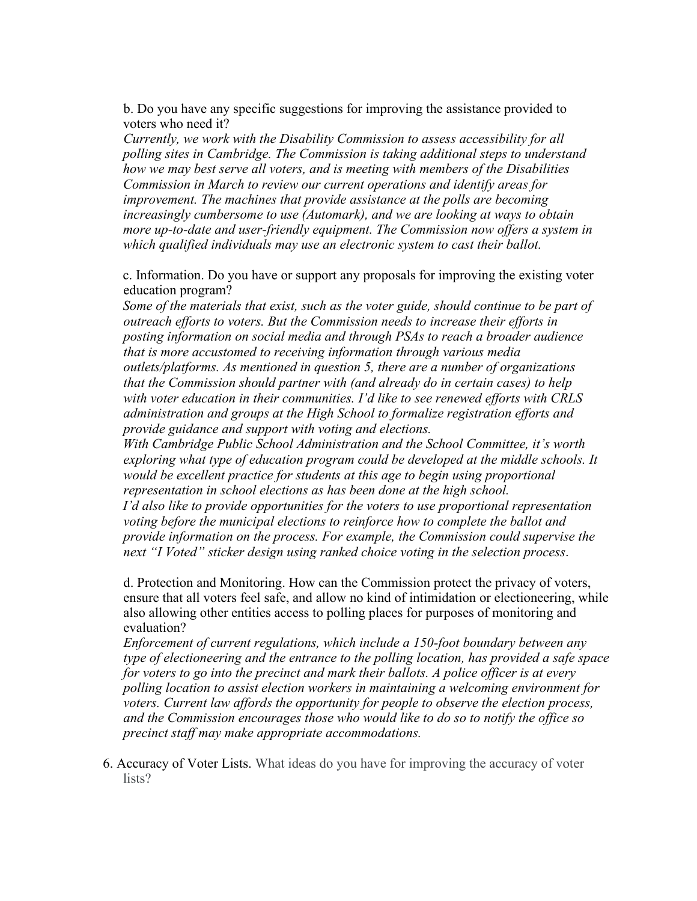b. Do you have any specific suggestions for improving the assistance provided to voters who need it?

*Currently, we work with the Disability Commission to assess accessibility for all polling sites in Cambridge. The Commission is taking additional steps to understand how we may best serve all voters, and is meeting with members of the Disabilities Commission in March to review our current operations and identify areas for improvement. The machines that provide assistance at the polls are becoming increasingly cumbersome to use (Automark), and we are looking at ways to obtain more up-to-date and user-friendly equipment. The Commission now offers a system in which qualified individuals may use an electronic system to cast their ballot.*

c. Information. Do you have or support any proposals for improving the existing voter education program?

*Some of the materials that exist, such as the voter guide, should continue to be part of outreach efforts to voters. But the Commission needs to increase their efforts in posting information on social media and through PSAs to reach a broader audience that is more accustomed to receiving information through various media outlets/platforms. As mentioned in question 5, there are a number of organizations that the Commission should partner with (and already do in certain cases) to help with voter education in their communities. I'd like to see renewed efforts with CRLS administration and groups at the High School to formalize registration efforts and provide guidance and support with voting and elections.* 

With Cambridge Public School Administration and the School Committee, it's worth *exploring what type of education program could be developed at the middle schools. It would be excellent practice for students at this age to begin using proportional representation in school elections as has been done at the high school. I'd also like to provide opportunities for the voters to use proportional representation voting before the municipal elections to reinforce how to complete the ballot and* 

*provide information on the process. For example, the Commission could supervise the next* "*I* Voted" sticker design using ranked choice voting in the selection process.

d. Protection and Monitoring. How can the Commission protect the privacy of voters, ensure that all voters feel safe, and allow no kind of intimidation or electioneering, while also allowing other entities access to polling places for purposes of monitoring and evaluation?

*Enforcement of current regulations, which include a 150-foot boundary between any type of electioneering and the entrance to the polling location, has provided a safe space for voters to go into the precinct and mark their ballots. A police officer is at every polling location to assist election workers in maintaining a welcoming environment for voters. Current law affords the opportunity for people to observe the election process, and the Commission encourages those who would like to do so to notify the office so precinct staff may make appropriate accommodations.*

6. Accuracy of Voter Lists. What ideas do you have for improving the accuracy of voter lists?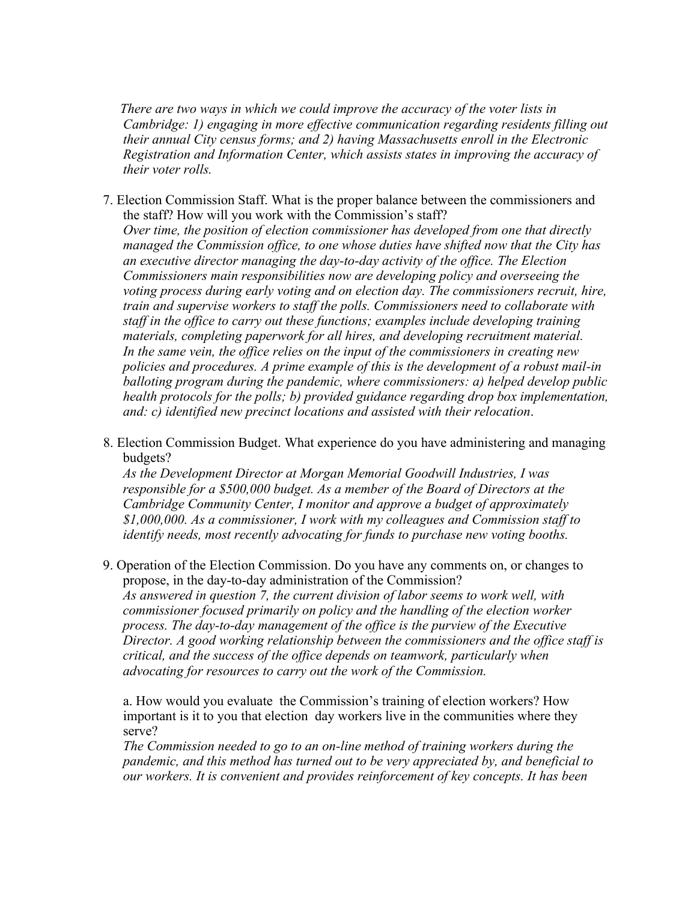*There are two ways in which we could improve the accuracy of the voter lists in Cambridge: 1) engaging in more effective communication regarding residents filling out their annual City census forms; and 2) having Massachusetts enroll in the Electronic Registration and Information Center, which assists states in improving the accuracy of their voter rolls.*

- 7. Election Commission Staff. What is the proper balance between the commissioners and the staff? How will you work with the Commission's staff? *Over time, the position of election commissioner has developed from one that directly managed the Commission office, to one whose duties have shifted now that the City has an executive director managing the day-to-day activity of the office. The Election Commissioners main responsibilities now are developing policy and overseeing the voting process during early voting and on election day. The commissioners recruit, hire, train and supervise workers to staff the polls. Commissioners need to collaborate with staff in the office to carry out these functions; examples include developing training materials, completing paperwork for all hires, and developing recruitment material. In the same vein, the office relies on the input of the commissioners in creating new policies and procedures. A prime example of this is the development of a robust mail-in balloting program during the pandemic, where commissioners: a) helped develop public health protocols for the polls; b) provided guidance regarding drop box implementation, and: c) identified new precinct locations and assisted with their relocation*.
- 8. Election Commission Budget. What experience do you have administering and managing budgets?

*As the Development Director at Morgan Memorial Goodwill Industries, I was responsible for a \$500,000 budget. As a member of the Board of Directors at the Cambridge Community Center, I monitor and approve a budget of approximately \$1,000,000. As a commissioner, I work with my colleagues and Commission staff to identify needs, most recently advocating for funds to purchase new voting booths.*

9. Operation of the Election Commission. Do you have any comments on, or changes to propose, in the day-to-day administration of the Commission? *As answered in question 7, the current division of labor seems to work well, with commissioner focused primarily on policy and the handling of the election worker process. The day-to-day management of the office is the purview of the Executive Director. A good working relationship between the commissioners and the office staff is critical, and the success of the office depends on teamwork, particularly when advocating for resources to carry out the work of the Commission.*

a. How would you evaluate the Commission's training of election workers? How important is it to you that election day workers live in the communities where they serve?

*The Commission needed to go to an on-line method of training workers during the pandemic, and this method has turned out to be very appreciated by, and beneficial to our workers. It is convenient and provides reinforcement of key concepts. It has been*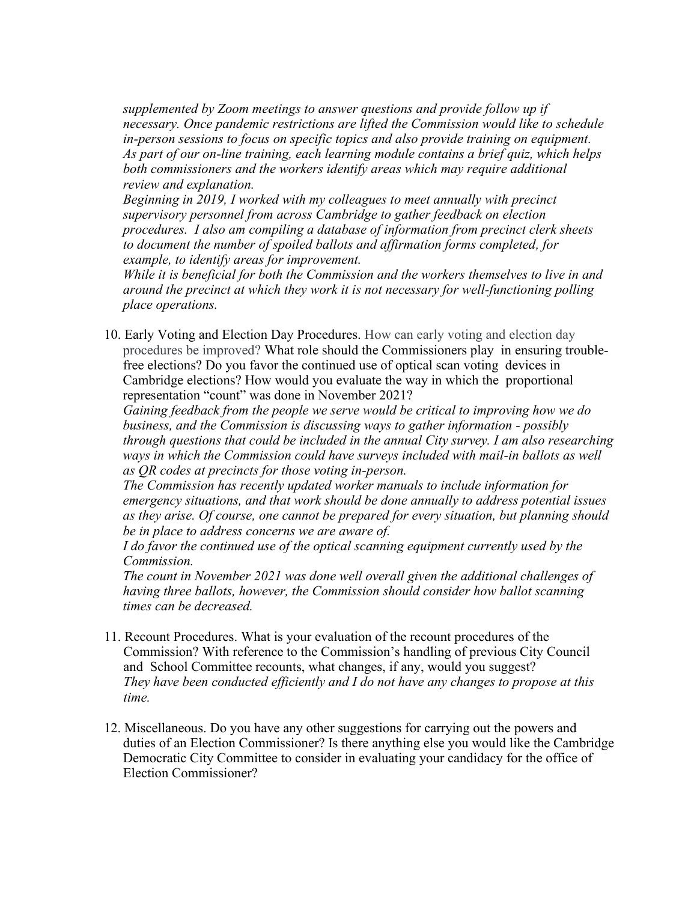*supplemented by Zoom meetings to answer questions and provide follow up if necessary. Once pandemic restrictions are lifted the Commission would like to schedule in-person sessions to focus on specific topics and also provide training on equipment. As part of our on-line training, each learning module contains a brief quiz, which helps both commissioners and the workers identify areas which may require additional review and explanation.*

*Beginning in 2019, I worked with my colleagues to meet annually with precinct supervisory personnel from across Cambridge to gather feedback on election procedures. I also am compiling a database of information from precinct clerk sheets to document the number of spoiled ballots and affirmation forms completed, for example, to identify areas for improvement.*

*While it is beneficial for both the Commission and the workers themselves to live in and around the precinct at which they work it is not necessary for well-functioning polling place operations.*

10. Early Voting and Election Day Procedures. How can early voting and election day procedures be improved? What role should the Commissioners play in ensuring troublefree elections? Do you favor the continued use of optical scan voting devices in Cambridge elections? How would you evaluate the way in which the proportional representation "count" was done in November 2021?

*Gaining feedback from the people we serve would be critical to improving how we do business, and the Commission is discussing ways to gather information - possibly through questions that could be included in the annual City survey. I am also researching* ways in which the Commission could have surveys included with mail-in ballots as well *as QR codes at precincts for those voting in-person.*

*The Commission has recently updated worker manuals to include information for emergency situations, and that work should be done annually to address potential issues as they arise. Of course, one cannot be prepared for every situation, but planning should be in place to address concerns we are aware of.* 

*I do favor the continued use of the optical scanning equipment currently used by the Commission.*

*The count in November 2021 was done well overall given the additional challenges of having three ballots, however, the Commission should consider how ballot scanning times can be decreased.*

- 11. Recount Procedures. What is your evaluation of the recount procedures of the Commission? With reference to the Commission's handling of previous City Council and School Committee recounts, what changes, if any, would you suggest? *They have been conducted efficiently and I do not have any changes to propose at this time.*
- 12. Miscellaneous. Do you have any other suggestions for carrying out the powers and duties of an Election Commissioner? Is there anything else you would like the Cambridge Democratic City Committee to consider in evaluating your candidacy for the office of Election Commissioner?